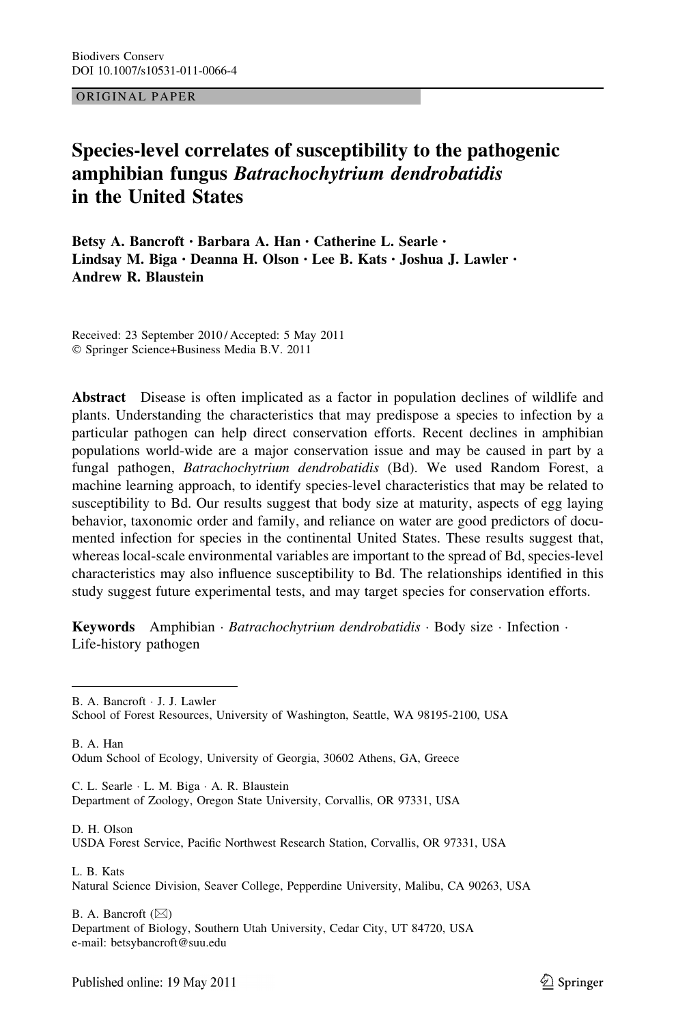ORIGINAL PAPER

# Species-level correlates of susceptibility to the pathogenic amphibian fungus Batrachochytrium dendrobatidis in the United States

Betsy A. Bancroft • Barbara A. Han • Catherine L. Searle • Lindsay M. Biga • Deanna H. Olson • Lee B. Kats • Joshua J. Lawler • Andrew R. Blaustein

Received: 23 September 2010 / Accepted: 5 May 2011 - Springer Science+Business Media B.V. 2011

Abstract Disease is often implicated as a factor in population declines of wildlife and plants. Understanding the characteristics that may predispose a species to infection by a particular pathogen can help direct conservation efforts. Recent declines in amphibian populations world-wide are a major conservation issue and may be caused in part by a fungal pathogen, Batrachochytrium dendrobatidis (Bd). We used Random Forest, a machine learning approach, to identify species-level characteristics that may be related to susceptibility to Bd. Our results suggest that body size at maturity, aspects of egg laying behavior, taxonomic order and family, and reliance on water are good predictors of documented infection for species in the continental United States. These results suggest that, whereas local-scale environmental variables are important to the spread of Bd, species-level characteristics may also influence susceptibility to Bd. The relationships identified in this study suggest future experimental tests, and may target species for conservation efforts.

Keywords Amphibian · Batrachochytrium dendrobatidis · Body size · Infection · Life-history pathogen

B. A. Bancroft - J. J. Lawler School of Forest Resources, University of Washington, Seattle, WA 98195-2100, USA

B. A. Han Odum School of Ecology, University of Georgia, 30602 Athens, GA, Greece

C. L. Searle · L. M. Biga · A. R. Blaustein Department of Zoology, Oregon State University, Corvallis, OR 97331, USA

## D. H. Olson USDA Forest Service, Pacific Northwest Research Station, Corvallis, OR 97331, USA

L. B. Kats Natural Science Division, Seaver College, Pepperdine University, Malibu, CA 90263, USA

B. A. Bancroft  $(\boxtimes)$ Department of Biology, Southern Utah University, Cedar City, UT 84720, USA e-mail: betsybancroft@suu.edu

Published online: 19 May 2011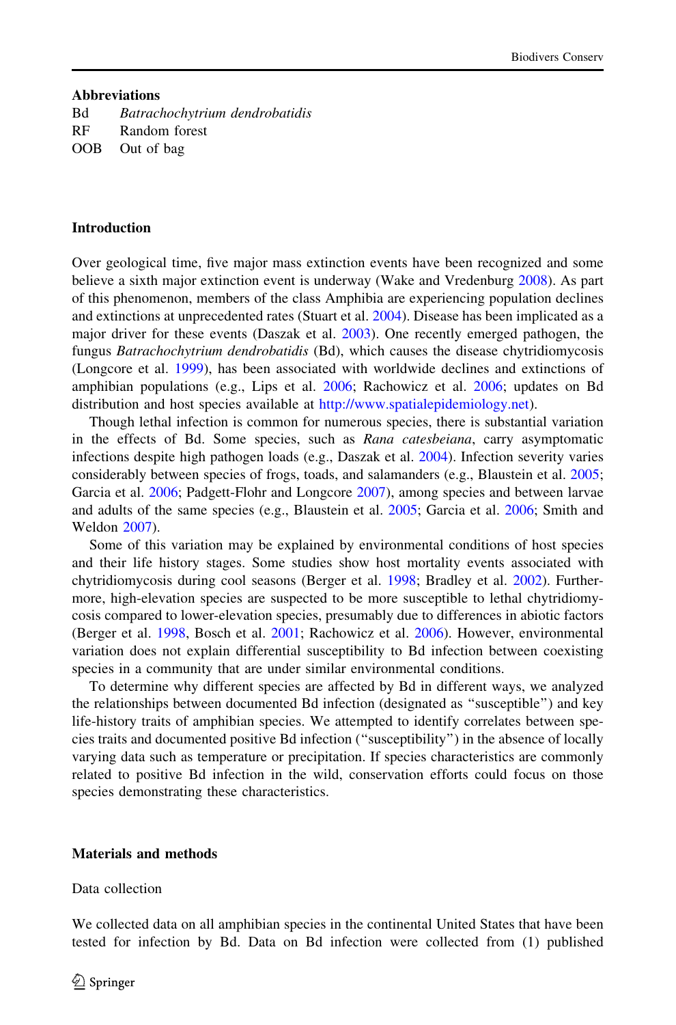#### Biodivers Conserv

#### Abbreviations

Bd Batrachochytrium dendrobatidis RF Random forest OOB Out of bag

# Introduction

Over geological time, five major mass extinction events have been recognized and some believe a sixth major extinction event is underway (Wake and Vredenburg [2008](#page-9-0)). As part of this phenomenon, members of the class Amphibia are experiencing population declines and extinctions at unprecedented rates (Stuart et al. [2004](#page-9-0)). Disease has been implicated as a major driver for these events (Daszak et al. [2003](#page-8-0)). One recently emerged pathogen, the fungus Batrachochytrium dendrobatidis (Bd), which causes the disease chytridiomycosis (Longcore et al. [1999](#page-9-0)), has been associated with worldwide declines and extinctions of amphibian populations (e.g., Lips et al. [2006](#page-9-0); Rachowicz et al. [2006](#page-9-0); updates on Bd distribution and host species available at <http://www.spatialepidemiology.net>).

Though lethal infection is common for numerous species, there is substantial variation in the effects of Bd. Some species, such as Rana catesbeiana, carry asymptomatic infections despite high pathogen loads (e.g., Daszak et al. [2004](#page-8-0)). Infection severity varies considerably between species of frogs, toads, and salamanders (e.g., Blaustein et al. [2005;](#page-8-0) Garcia et al. [2006;](#page-8-0) Padgett-Flohr and Longcore [2007\)](#page-9-0), among species and between larvae and adults of the same species (e.g., Blaustein et al. [2005](#page-8-0); Garcia et al. [2006](#page-8-0); Smith and Weldon [2007\)](#page-9-0).

Some of this variation may be explained by environmental conditions of host species and their life history stages. Some studies show host mortality events associated with chytridiomycosis during cool seasons (Berger et al. [1998;](#page-8-0) Bradley et al. [2002\)](#page-8-0). Furthermore, high-elevation species are suspected to be more susceptible to lethal chytridiomycosis compared to lower-elevation species, presumably due to differences in abiotic factors (Berger et al. [1998,](#page-8-0) Bosch et al. [2001](#page-8-0); Rachowicz et al. [2006](#page-9-0)). However, environmental variation does not explain differential susceptibility to Bd infection between coexisting species in a community that are under similar environmental conditions.

To determine why different species are affected by Bd in different ways, we analyzed the relationships between documented Bd infection (designated as ''susceptible'') and key life-history traits of amphibian species. We attempted to identify correlates between species traits and documented positive Bd infection (''susceptibility'') in the absence of locally varying data such as temperature or precipitation. If species characteristics are commonly related to positive Bd infection in the wild, conservation efforts could focus on those species demonstrating these characteristics.

# Materials and methods

## Data collection

We collected data on all amphibian species in the continental United States that have been tested for infection by Bd. Data on Bd infection were collected from (1) published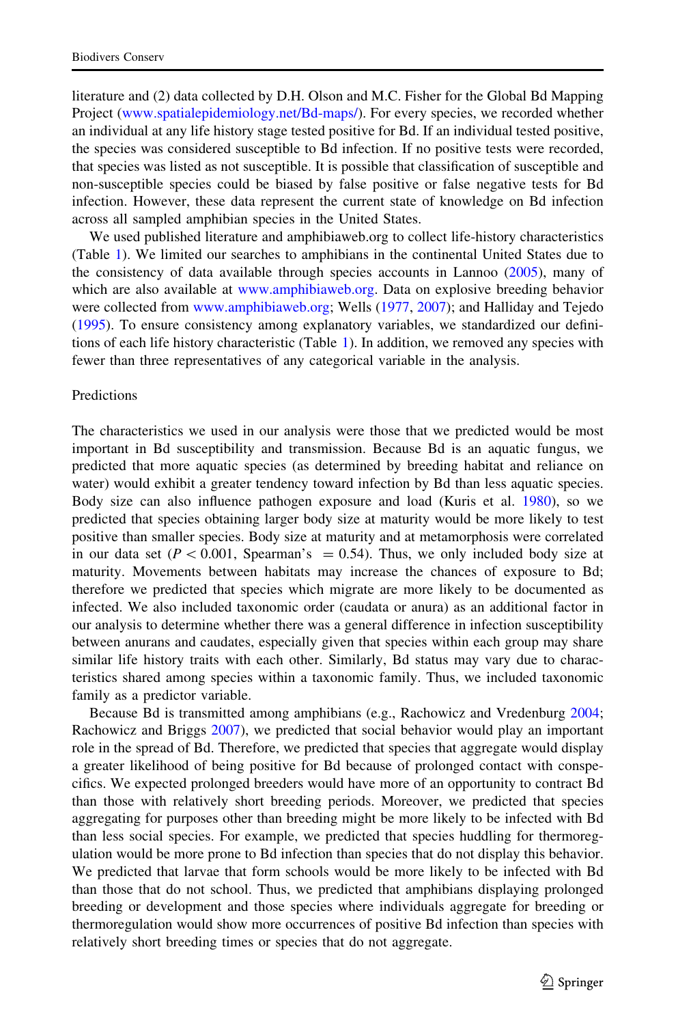literature and (2) data collected by D.H. Olson and M.C. Fisher for the Global Bd Mapping Project [\(www.spatialepidemiology.net/Bd-maps/\)](http://www.spatialepidemiology.net/Bd-maps/). For every species, we recorded whether an individual at any life history stage tested positive for Bd. If an individual tested positive, the species was considered susceptible to Bd infection. If no positive tests were recorded, that species was listed as not susceptible. It is possible that classification of susceptible and non-susceptible species could be biased by false positive or false negative tests for Bd infection. However, these data represent the current state of knowledge on Bd infection across all sampled amphibian species in the United States.

We used published literature and amphibiaweb.org to collect life-history characteristics (Table [1](#page-3-0)). We limited our searches to amphibians in the continental United States due to the consistency of data available through species accounts in Lannoo [\(2005\)](#page-8-0), many of which are also available at [www.amphibiaweb.org.](http://www.amphibiaweb.org) Data on explosive breeding behavior were collected from [www.amphibiaweb.org](http://www.amphibiaweb.org); Wells [\(1977](#page-9-0), [2007](#page-9-0)); and Halliday and Tejedo ([1995\)](#page-8-0). To ensure consistency among explanatory variables, we standardized our definitions of each life history characteristic (Table [1](#page-3-0)). In addition, we removed any species with fewer than three representatives of any categorical variable in the analysis.

#### **Predictions**

The characteristics we used in our analysis were those that we predicted would be most important in Bd susceptibility and transmission. Because Bd is an aquatic fungus, we predicted that more aquatic species (as determined by breeding habitat and reliance on water) would exhibit a greater tendency toward infection by Bd than less aquatic species. Body size can also influence pathogen exposure and load (Kuris et al. [1980\)](#page-8-0), so we predicted that species obtaining larger body size at maturity would be more likely to test positive than smaller species. Body size at maturity and at metamorphosis were correlated in our data set ( $P < 0.001$ , Spearman's = 0.54). Thus, we only included body size at maturity. Movements between habitats may increase the chances of exposure to Bd; therefore we predicted that species which migrate are more likely to be documented as infected. We also included taxonomic order (caudata or anura) as an additional factor in our analysis to determine whether there was a general difference in infection susceptibility between anurans and caudates, especially given that species within each group may share similar life history traits with each other. Similarly, Bd status may vary due to characteristics shared among species within a taxonomic family. Thus, we included taxonomic family as a predictor variable.

Because Bd is transmitted among amphibians (e.g., Rachowicz and Vredenburg [2004;](#page-9-0) Rachowicz and Briggs [2007](#page-9-0)), we predicted that social behavior would play an important role in the spread of Bd. Therefore, we predicted that species that aggregate would display a greater likelihood of being positive for Bd because of prolonged contact with conspecifics. We expected prolonged breeders would have more of an opportunity to contract Bd than those with relatively short breeding periods. Moreover, we predicted that species aggregating for purposes other than breeding might be more likely to be infected with Bd than less social species. For example, we predicted that species huddling for thermoregulation would be more prone to Bd infection than species that do not display this behavior. We predicted that larvae that form schools would be more likely to be infected with Bd than those that do not school. Thus, we predicted that amphibians displaying prolonged breeding or development and those species where individuals aggregate for breeding or thermoregulation would show more occurrences of positive Bd infection than species with relatively short breeding times or species that do not aggregate.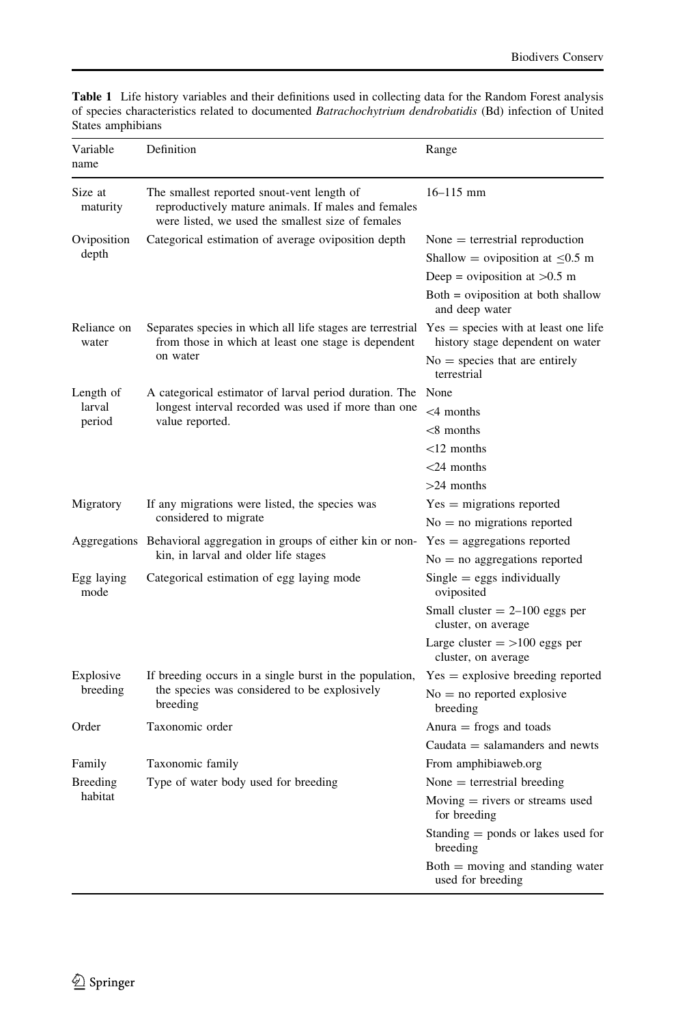| Variable<br>name           | Definition                                                                                                                                             | Range                                                                      |  |
|----------------------------|--------------------------------------------------------------------------------------------------------------------------------------------------------|----------------------------------------------------------------------------|--|
| Size at<br>maturity        | The smallest reported snout-vent length of<br>reproductively mature animals. If males and females<br>were listed, we used the smallest size of females | $16 - 115$ mm                                                              |  |
| Oviposition<br>depth       | Categorical estimation of average oviposition depth                                                                                                    | None $=$ terrestrial reproduction                                          |  |
|                            |                                                                                                                                                        | Shallow = oviposition at $\leq 0.5$ m                                      |  |
|                            |                                                                                                                                                        | Deep = oviposition at $>0.5$ m                                             |  |
|                            |                                                                                                                                                        | $Both = oviposition at both shallow$<br>and deep water                     |  |
| Reliance on<br>water       | Separates species in which all life stages are terrestrial<br>from those in which at least one stage is dependent                                      | $Yes = species with at least one life$<br>history stage dependent on water |  |
|                            | on water                                                                                                                                               | $No = species that are entirely$<br>terrestrial                            |  |
| Length of                  | A categorical estimator of larval period duration. The<br>longest interval recorded was used if more than one<br>value reported.                       | None                                                                       |  |
| larval                     |                                                                                                                                                        | $<$ 4 months                                                               |  |
| period                     |                                                                                                                                                        | $<8$ months                                                                |  |
|                            |                                                                                                                                                        | $<$ 12 months                                                              |  |
|                            |                                                                                                                                                        | $<$ 24 months                                                              |  |
|                            |                                                                                                                                                        | $>24$ months                                                               |  |
| Migratory                  | If any migrations were listed, the species was<br>considered to migrate                                                                                | $Yes = migrations reported$                                                |  |
|                            |                                                                                                                                                        | $No = no$ migrations reported                                              |  |
|                            | Aggregations Behavioral aggregation in groups of either kin or non-<br>kin, in larval and older life stages                                            | $Yes = aggregates$ as reported                                             |  |
|                            |                                                                                                                                                        | $No = no$ aggregations reported                                            |  |
| Egg laying<br>mode         | Categorical estimation of egg laying mode                                                                                                              | $Single = eggs$ individually<br>oviposited                                 |  |
|                            |                                                                                                                                                        | Small cluster $= 2 - 100$ eggs per<br>cluster, on average                  |  |
|                            |                                                                                                                                                        | Large cluster $=$ >100 eggs per<br>cluster, on average                     |  |
| Explosive                  | If breeding occurs in a single burst in the population,<br>the species was considered to be explosively<br>breeding                                    | $Yes = \text{explosive breeding reported}$                                 |  |
| breeding                   |                                                                                                                                                        | $No = no$ reported explosive<br>breeding                                   |  |
| Order                      | Taxonomic order                                                                                                                                        | $Anura = frogs$ and toads                                                  |  |
|                            |                                                                                                                                                        | $Caudata = salamanders$ and newts                                          |  |
| Family                     | Taxonomic family                                                                                                                                       | From amphibiaweb.org                                                       |  |
| <b>Breeding</b><br>habitat | Type of water body used for breeding                                                                                                                   | None $=$ terrestrial breeding                                              |  |
|                            |                                                                                                                                                        | $Moving = rivers or streams used$<br>for breeding                          |  |
|                            |                                                                                                                                                        | Standing $=$ ponds or lakes used for<br>breeding                           |  |
|                            |                                                                                                                                                        | $Both = moving and standing water$<br>used for breeding                    |  |

<span id="page-3-0"></span>Table 1 Life history variables and their definitions used in collecting data for the Random Forest analysis of species characteristics related to documented Batrachochytrium dendrobatidis (Bd) infection of United States amphibians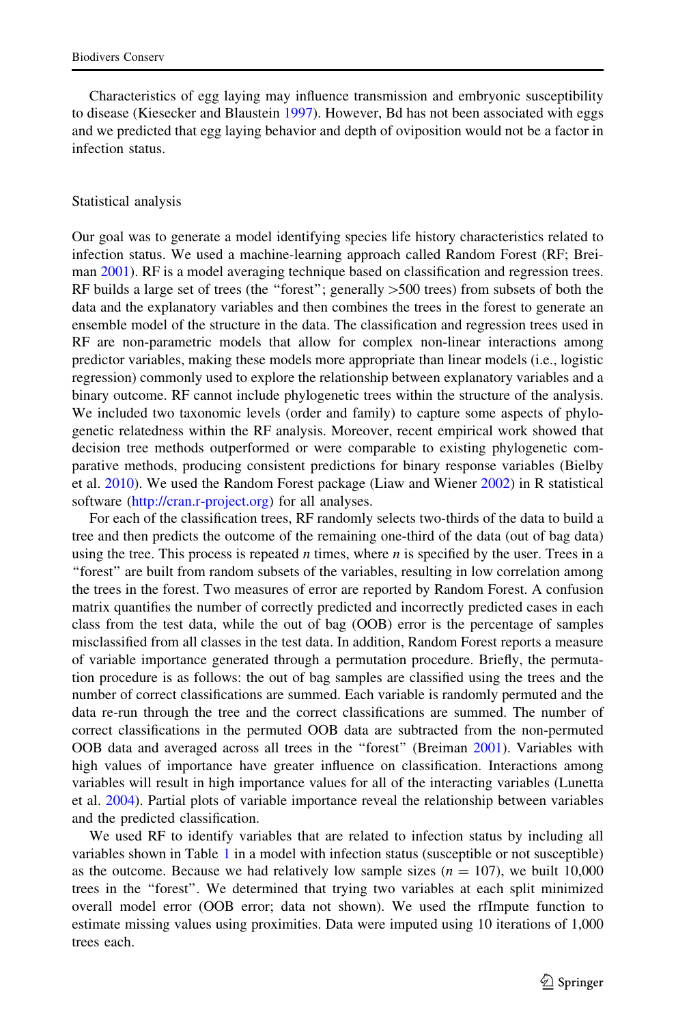Characteristics of egg laying may influence transmission and embryonic susceptibility to disease (Kiesecker and Blaustein [1997](#page-8-0)). However, Bd has not been associated with eggs and we predicted that egg laying behavior and depth of oviposition would not be a factor in infection status.

## Statistical analysis

Our goal was to generate a model identifying species life history characteristics related to infection status. We used a machine-learning approach called Random Forest (RF; Breiman [2001](#page-8-0)). RF is a model averaging technique based on classification and regression trees. RF builds a large set of trees (the "forest"; generally  $>500$  trees) from subsets of both the data and the explanatory variables and then combines the trees in the forest to generate an ensemble model of the structure in the data. The classification and regression trees used in RF are non-parametric models that allow for complex non-linear interactions among predictor variables, making these models more appropriate than linear models (i.e., logistic regression) commonly used to explore the relationship between explanatory variables and a binary outcome. RF cannot include phylogenetic trees within the structure of the analysis. We included two taxonomic levels (order and family) to capture some aspects of phylogenetic relatedness within the RF analysis. Moreover, recent empirical work showed that decision tree methods outperformed or were comparable to existing phylogenetic comparative methods, producing consistent predictions for binary response variables (Bielby et al. [2010](#page-8-0)). We used the Random Forest package (Liaw and Wiener [2002\)](#page-9-0) in R statistical software ([http://cran.r-project.org\)](http://cran.r-project.org) for all analyses.

For each of the classification trees, RF randomly selects two-thirds of the data to build a tree and then predicts the outcome of the remaining one-third of the data (out of bag data) using the tree. This process is repeated  $n$  times, where  $n$  is specified by the user. Trees in a ''forest'' are built from random subsets of the variables, resulting in low correlation among the trees in the forest. Two measures of error are reported by Random Forest. A confusion matrix quantifies the number of correctly predicted and incorrectly predicted cases in each class from the test data, while the out of bag (OOB) error is the percentage of samples misclassified from all classes in the test data. In addition, Random Forest reports a measure of variable importance generated through a permutation procedure. Briefly, the permutation procedure is as follows: the out of bag samples are classified using the trees and the number of correct classifications are summed. Each variable is randomly permuted and the data re-run through the tree and the correct classifications are summed. The number of correct classifications in the permuted OOB data are subtracted from the non-permuted OOB data and averaged across all trees in the ''forest'' (Breiman [2001\)](#page-8-0). Variables with high values of importance have greater influence on classification. Interactions among variables will result in high importance values for all of the interacting variables (Lunetta et al. [2004\)](#page-9-0). Partial plots of variable importance reveal the relationship between variables and the predicted classification.

We used RF to identify variables that are related to infection status by including all variables shown in Table [1](#page-3-0) in a model with infection status (susceptible or not susceptible) as the outcome. Because we had relatively low sample sizes  $(n = 107)$ , we built 10,000 trees in the ''forest''. We determined that trying two variables at each split minimized overall model error (OOB error; data not shown). We used the rfImpute function to estimate missing values using proximities. Data were imputed using 10 iterations of 1,000 trees each.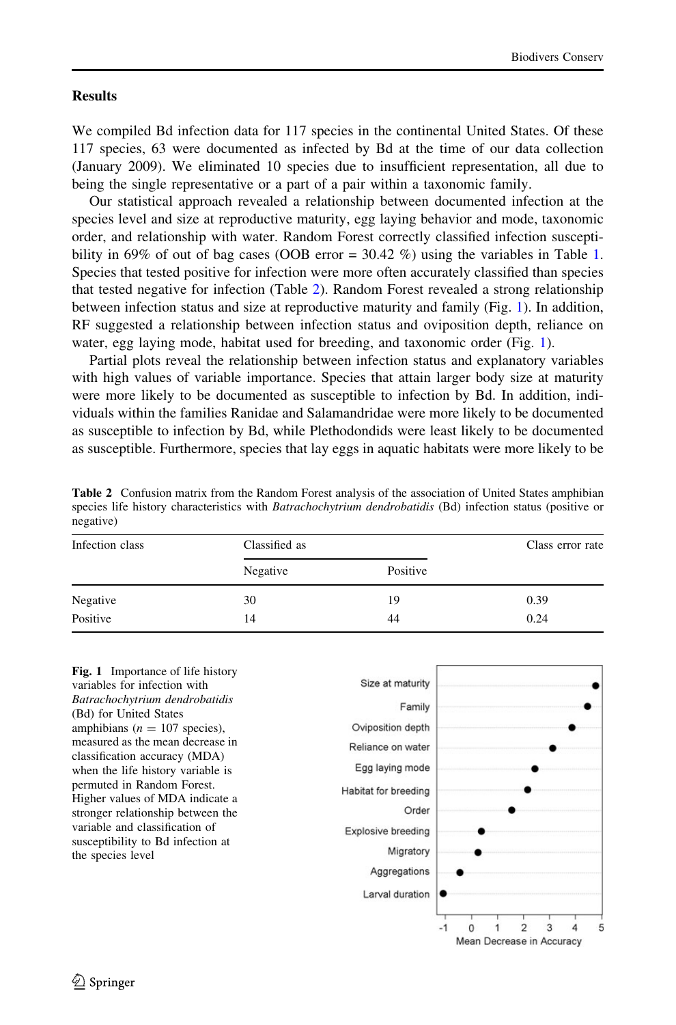# Results

We compiled Bd infection data for 117 species in the continental United States. Of these 117 species, 63 were documented as infected by Bd at the time of our data collection (January 2009). We eliminated 10 species due to insufficient representation, all due to being the single representative or a part of a pair within a taxonomic family.

Our statistical approach revealed a relationship between documented infection at the species level and size at reproductive maturity, egg laying behavior and mode, taxonomic order, and relationship with water. Random Forest correctly classified infection susceptibility in 69% of out of bag cases (OOB error =  $30.42$  %) using the variables in Table [1](#page-3-0). Species that tested positive for infection were more often accurately classified than species that tested negative for infection (Table 2). Random Forest revealed a strong relationship between infection status and size at reproductive maturity and family (Fig. 1). In addition, RF suggested a relationship between infection status and oviposition depth, reliance on water, egg laying mode, habitat used for breeding, and taxonomic order (Fig. 1).

Partial plots reveal the relationship between infection status and explanatory variables with high values of variable importance. Species that attain larger body size at maturity were more likely to be documented as susceptible to infection by Bd. In addition, individuals within the families Ranidae and Salamandridae were more likely to be documented as susceptible to infection by Bd, while Plethodondids were least likely to be documented as susceptible. Furthermore, species that lay eggs in aquatic habitats were more likely to be

| $T_{\alpha}$ , $\mathcal{L}_{\alpha}$ , $\mathcal{L}_{\alpha}$ , $\mathcal{L}_{\alpha}$ , $\mathcal{L}_{\alpha}$ , $\mathcal{L}_{\alpha}$ | $C1 - C2 - 1 - 1$ |                                                                                                                    |  |
|-------------------------------------------------------------------------------------------------------------------------------------------|-------------------|--------------------------------------------------------------------------------------------------------------------|--|
| negative)                                                                                                                                 |                   |                                                                                                                    |  |
|                                                                                                                                           |                   | species life history characteristics with <i>Batrachochytrium dendrobatidis</i> (Bd) infection status (positive or |  |
|                                                                                                                                           |                   | <b>Table 2</b> Confusion matrix from the Random Forest analysis of the association of United States amphibian      |  |

| Infection class | Classified as |          | Class error rate |  |
|-----------------|---------------|----------|------------------|--|
|                 | Negative      | Positive |                  |  |
| Negative        | 30            | 19       | 0.39             |  |
| Positive        | 14            | 44       | 0.24             |  |

Fig. 1 Importance of life history variables for infection with Batrachochytrium dendrobatidis (Bd) for United States amphibians ( $n = 107$  species), measured as the mean decrease in classification accuracy (MDA) when the life history variable is permuted in Random Forest. Higher values of MDA indicate a stronger relationship between the variable and classification of susceptibility to Bd infection at the species level

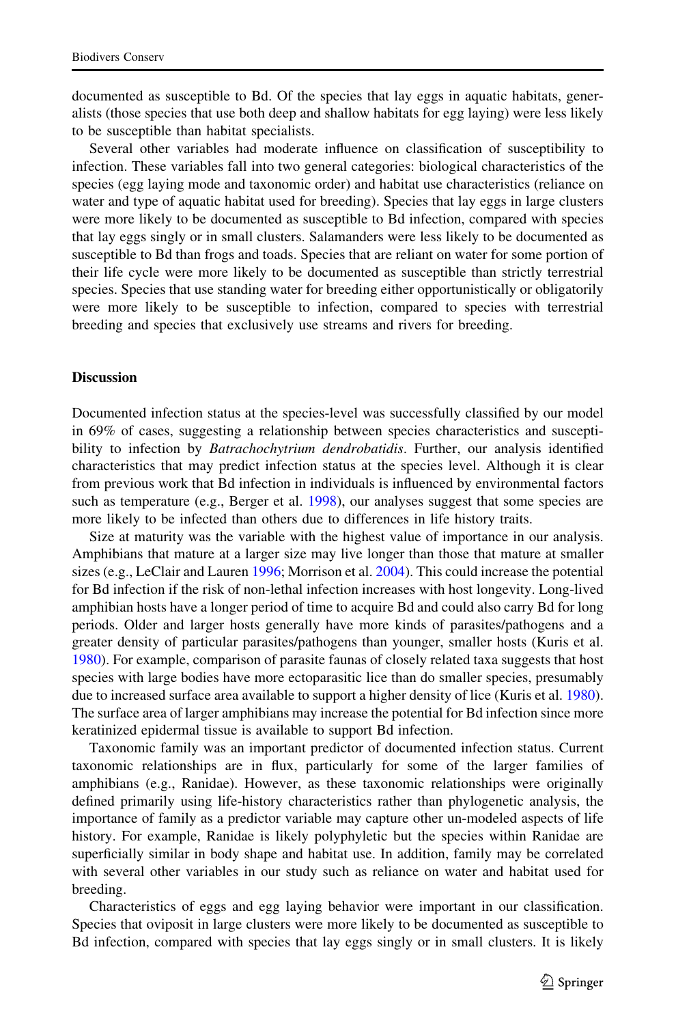documented as susceptible to Bd. Of the species that lay eggs in aquatic habitats, generalists (those species that use both deep and shallow habitats for egg laying) were less likely to be susceptible than habitat specialists.

Several other variables had moderate influence on classification of susceptibility to infection. These variables fall into two general categories: biological characteristics of the species (egg laying mode and taxonomic order) and habitat use characteristics (reliance on water and type of aquatic habitat used for breeding). Species that lay eggs in large clusters were more likely to be documented as susceptible to Bd infection, compared with species that lay eggs singly or in small clusters. Salamanders were less likely to be documented as susceptible to Bd than frogs and toads. Species that are reliant on water for some portion of their life cycle were more likely to be documented as susceptible than strictly terrestrial species. Species that use standing water for breeding either opportunistically or obligatorily were more likely to be susceptible to infection, compared to species with terrestrial breeding and species that exclusively use streams and rivers for breeding.

#### **Discussion**

Documented infection status at the species-level was successfully classified by our model in 69% of cases, suggesting a relationship between species characteristics and susceptibility to infection by Batrachochytrium dendrobatidis. Further, our analysis identified characteristics that may predict infection status at the species level. Although it is clear from previous work that Bd infection in individuals is influenced by environmental factors such as temperature (e.g., Berger et al. [1998](#page-8-0)), our analyses suggest that some species are more likely to be infected than others due to differences in life history traits.

Size at maturity was the variable with the highest value of importance in our analysis. Amphibians that mature at a larger size may live longer than those that mature at smaller sizes (e.g., LeClair and Lauren [1996;](#page-9-0) Morrison et al. [2004](#page-9-0)). This could increase the potential for Bd infection if the risk of non-lethal infection increases with host longevity. Long-lived amphibian hosts have a longer period of time to acquire Bd and could also carry Bd for long periods. Older and larger hosts generally have more kinds of parasites/pathogens and a greater density of particular parasites/pathogens than younger, smaller hosts (Kuris et al. [1980\)](#page-8-0). For example, comparison of parasite faunas of closely related taxa suggests that host species with large bodies have more ectoparasitic lice than do smaller species, presumably due to increased surface area available to support a higher density of lice (Kuris et al. [1980](#page-8-0)). The surface area of larger amphibians may increase the potential for Bd infection since more keratinized epidermal tissue is available to support Bd infection.

Taxonomic family was an important predictor of documented infection status. Current taxonomic relationships are in flux, particularly for some of the larger families of amphibians (e.g., Ranidae). However, as these taxonomic relationships were originally defined primarily using life-history characteristics rather than phylogenetic analysis, the importance of family as a predictor variable may capture other un-modeled aspects of life history. For example, Ranidae is likely polyphyletic but the species within Ranidae are superficially similar in body shape and habitat use. In addition, family may be correlated with several other variables in our study such as reliance on water and habitat used for breeding.

Characteristics of eggs and egg laying behavior were important in our classification. Species that oviposit in large clusters were more likely to be documented as susceptible to Bd infection, compared with species that lay eggs singly or in small clusters. It is likely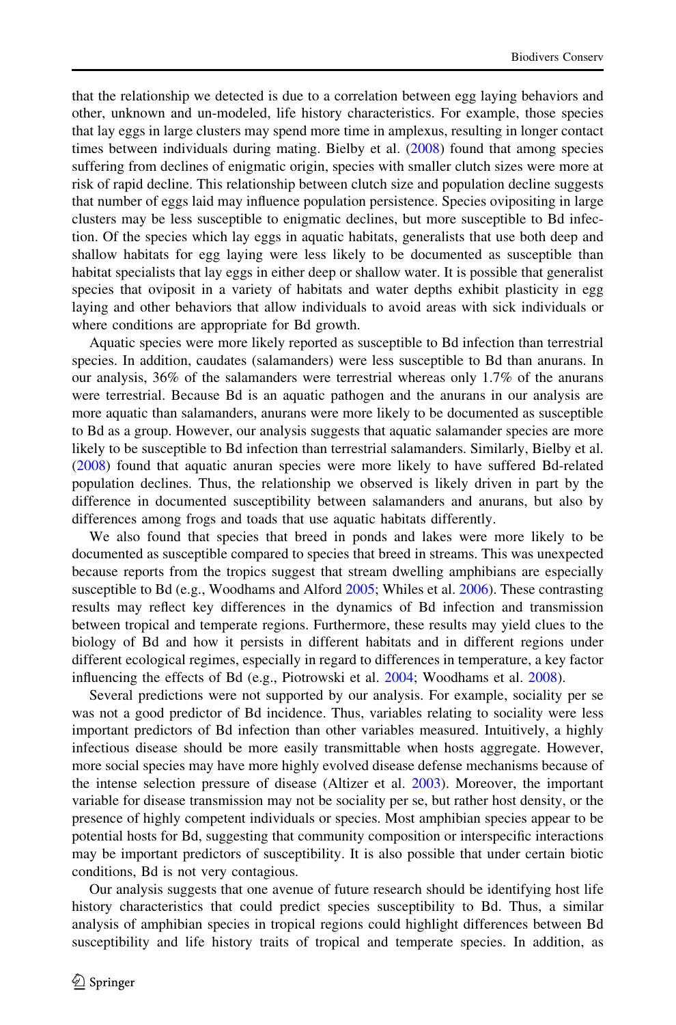that the relationship we detected is due to a correlation between egg laying behaviors and other, unknown and un-modeled, life history characteristics. For example, those species that lay eggs in large clusters may spend more time in amplexus, resulting in longer contact times between individuals during mating. Bielby et al. [\(2008](#page-8-0)) found that among species suffering from declines of enigmatic origin, species with smaller clutch sizes were more at risk of rapid decline. This relationship between clutch size and population decline suggests that number of eggs laid may influence population persistence. Species ovipositing in large clusters may be less susceptible to enigmatic declines, but more susceptible to Bd infection. Of the species which lay eggs in aquatic habitats, generalists that use both deep and shallow habitats for egg laying were less likely to be documented as susceptible than habitat specialists that lay eggs in either deep or shallow water. It is possible that generalist species that oviposit in a variety of habitats and water depths exhibit plasticity in egg laying and other behaviors that allow individuals to avoid areas with sick individuals or where conditions are appropriate for Bd growth.

Aquatic species were more likely reported as susceptible to Bd infection than terrestrial species. In addition, caudates (salamanders) were less susceptible to Bd than anurans. In our analysis, 36% of the salamanders were terrestrial whereas only 1.7% of the anurans were terrestrial. Because Bd is an aquatic pathogen and the anurans in our analysis are more aquatic than salamanders, anurans were more likely to be documented as susceptible to Bd as a group. However, our analysis suggests that aquatic salamander species are more likely to be susceptible to Bd infection than terrestrial salamanders. Similarly, Bielby et al. ([2008\)](#page-8-0) found that aquatic anuran species were more likely to have suffered Bd-related population declines. Thus, the relationship we observed is likely driven in part by the difference in documented susceptibility between salamanders and anurans, but also by differences among frogs and toads that use aquatic habitats differently.

We also found that species that breed in ponds and lakes were more likely to be documented as susceptible compared to species that breed in streams. This was unexpected because reports from the tropics suggest that stream dwelling amphibians are especially susceptible to Bd (e.g., Woodhams and Alford [2005;](#page-9-0) Whiles et al. [2006\)](#page-9-0). These contrasting results may reflect key differences in the dynamics of Bd infection and transmission between tropical and temperate regions. Furthermore, these results may yield clues to the biology of Bd and how it persists in different habitats and in different regions under different ecological regimes, especially in regard to differences in temperature, a key factor influencing the effects of Bd (e.g., Piotrowski et al. [2004](#page-9-0); Woodhams et al. [2008](#page-9-0)).

Several predictions were not supported by our analysis. For example, sociality per se was not a good predictor of Bd incidence. Thus, variables relating to sociality were less important predictors of Bd infection than other variables measured. Intuitively, a highly infectious disease should be more easily transmittable when hosts aggregate. However, more social species may have more highly evolved disease defense mechanisms because of the intense selection pressure of disease (Altizer et al. [2003\)](#page-8-0). Moreover, the important variable for disease transmission may not be sociality per se, but rather host density, or the presence of highly competent individuals or species. Most amphibian species appear to be potential hosts for Bd, suggesting that community composition or interspecific interactions may be important predictors of susceptibility. It is also possible that under certain biotic conditions, Bd is not very contagious.

Our analysis suggests that one avenue of future research should be identifying host life history characteristics that could predict species susceptibility to Bd. Thus, a similar analysis of amphibian species in tropical regions could highlight differences between Bd susceptibility and life history traits of tropical and temperate species. In addition, as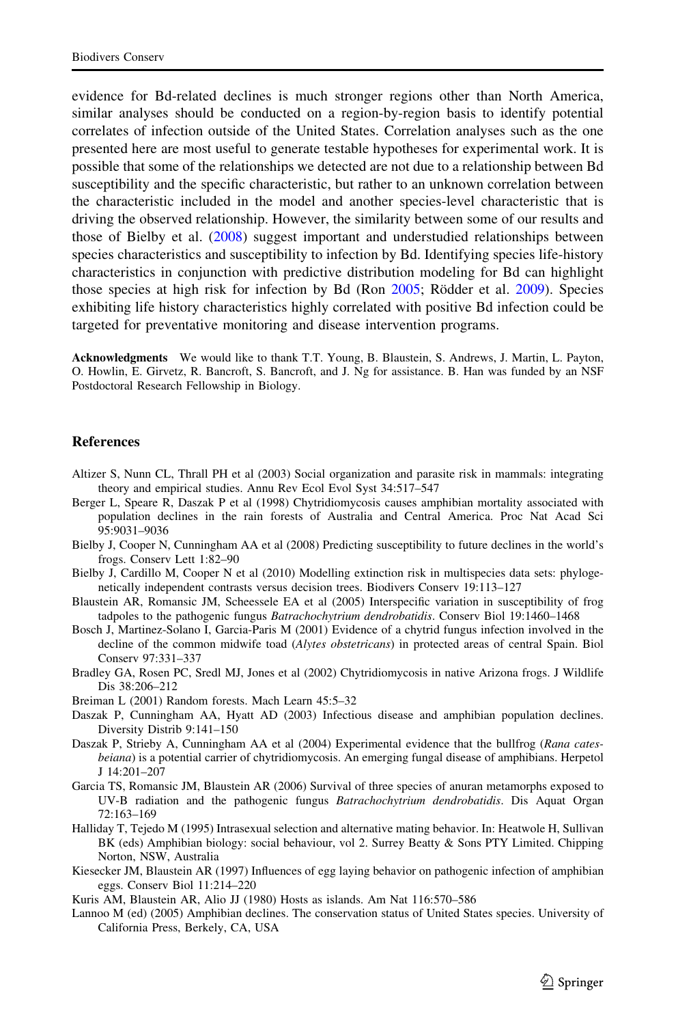<span id="page-8-0"></span>evidence for Bd-related declines is much stronger regions other than North America, similar analyses should be conducted on a region-by-region basis to identify potential correlates of infection outside of the United States. Correlation analyses such as the one presented here are most useful to generate testable hypotheses for experimental work. It is possible that some of the relationships we detected are not due to a relationship between Bd susceptibility and the specific characteristic, but rather to an unknown correlation between the characteristic included in the model and another species-level characteristic that is driving the observed relationship. However, the similarity between some of our results and those of Bielby et al. (2008) suggest important and understudied relationships between species characteristics and susceptibility to infection by Bd. Identifying species life-history characteristics in conjunction with predictive distribution modeling for Bd can highlight those species at high risk for infection by Bd (Ron [2005](#page-9-0); Rödder et al. [2009](#page-9-0)). Species exhibiting life history characteristics highly correlated with positive Bd infection could be targeted for preventative monitoring and disease intervention programs.

Acknowledgments We would like to thank T.T. Young, B. Blaustein, S. Andrews, J. Martin, L. Payton, O. Howlin, E. Girvetz, R. Bancroft, S. Bancroft, and J. Ng for assistance. B. Han was funded by an NSF Postdoctoral Research Fellowship in Biology.

# **References**

- Altizer S, Nunn CL, Thrall PH et al (2003) Social organization and parasite risk in mammals: integrating theory and empirical studies. Annu Rev Ecol Evol Syst 34:517–547
- Berger L, Speare R, Daszak P et al (1998) Chytridiomycosis causes amphibian mortality associated with population declines in the rain forests of Australia and Central America. Proc Nat Acad Sci 95:9031–9036
- Bielby J, Cooper N, Cunningham AA et al (2008) Predicting susceptibility to future declines in the world's frogs. Conserv Lett 1:82–90
- Bielby J, Cardillo M, Cooper N et al (2010) Modelling extinction risk in multispecies data sets: phylogenetically independent contrasts versus decision trees. Biodivers Conserv 19:113–127
- Blaustein AR, Romansic JM, Scheessele EA et al (2005) Interspecific variation in susceptibility of frog tadpoles to the pathogenic fungus Batrachochytrium dendrobatidis. Conserv Biol 19:1460–1468
- Bosch J, Martinez-Solano I, Garcia-Paris M (2001) Evidence of a chytrid fungus infection involved in the decline of the common midwife toad (Alytes obstetricans) in protected areas of central Spain. Biol Conserv 97:331–337
- Bradley GA, Rosen PC, Sredl MJ, Jones et al (2002) Chytridiomycosis in native Arizona frogs. J Wildlife Dis 38:206–212
- Breiman L (2001) Random forests. Mach Learn 45:5–32
- Daszak P, Cunningham AA, Hyatt AD (2003) Infectious disease and amphibian population declines. Diversity Distrib 9:141–150
- Daszak P, Strieby A, Cunningham AA et al (2004) Experimental evidence that the bullfrog (Rana catesbeiana) is a potential carrier of chytridiomycosis. An emerging fungal disease of amphibians. Herpetol J 14:201–207
- Garcia TS, Romansic JM, Blaustein AR (2006) Survival of three species of anuran metamorphs exposed to UV-B radiation and the pathogenic fungus Batrachochytrium dendrobatidis. Dis Aquat Organ 72:163–169
- Halliday T, Tejedo M (1995) Intrasexual selection and alternative mating behavior. In: Heatwole H, Sullivan BK (eds) Amphibian biology: social behaviour, vol 2. Surrey Beatty & Sons PTY Limited. Chipping Norton, NSW, Australia
- Kiesecker JM, Blaustein AR (1997) Influences of egg laying behavior on pathogenic infection of amphibian eggs. Conserv Biol 11:214–220
- Kuris AM, Blaustein AR, Alio JJ (1980) Hosts as islands. Am Nat 116:570–586
- Lannoo M (ed) (2005) Amphibian declines. The conservation status of United States species. University of California Press, Berkely, CA, USA